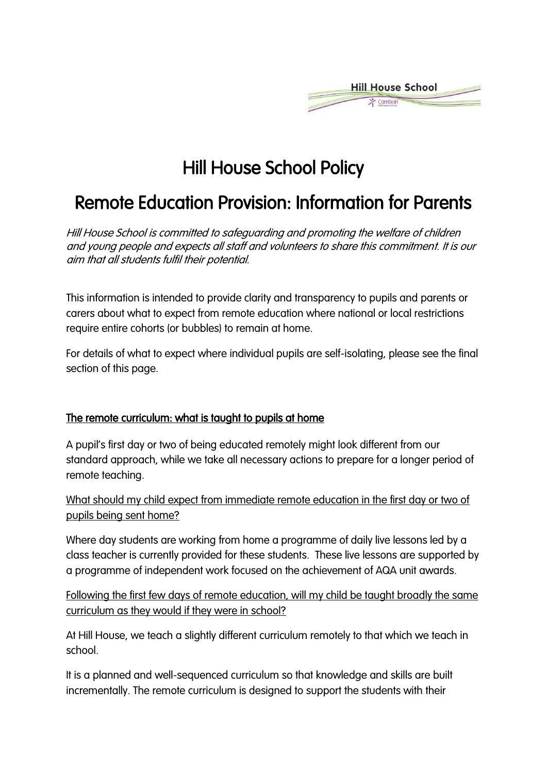

# Hill House School Policy

# Remote Education Provision: Information for Parents

Hill House School is committed to safeguarding and promoting the welfare of children and young people and expects all staff and volunteers to share this commitment. It is our aim that all students fulfil their potential.

This information is intended to provide clarity and transparency to pupils and parents or carers about what to expect from remote education where national or local restrictions require entire cohorts (or bubbles) to remain at home.

For details of what to expect where individual pupils are self-isolating, please see the final section of this page.

#### The remote curriculum: what is taught to pupils at home

A pupil's first day or two of being educated remotely might look different from our standard approach, while we take all necessary actions to prepare for a longer period of remote teaching.

What should my child expect from immediate remote education in the first day or two of pupils being sent home?

Where day students are working from home a programme of daily live lessons led by a class teacher is currently provided for these students. These live lessons are supported by a programme of independent work focused on the achievement of AQA unit awards.

Following the first few days of remote education, will my child be taught broadly the same curriculum as they would if they were in school?

At Hill House, we teach a slightly different curriculum remotely to that which we teach in school.

It is a planned and well-sequenced curriculum so that knowledge and skills are built incrementally. The remote curriculum is designed to support the students with their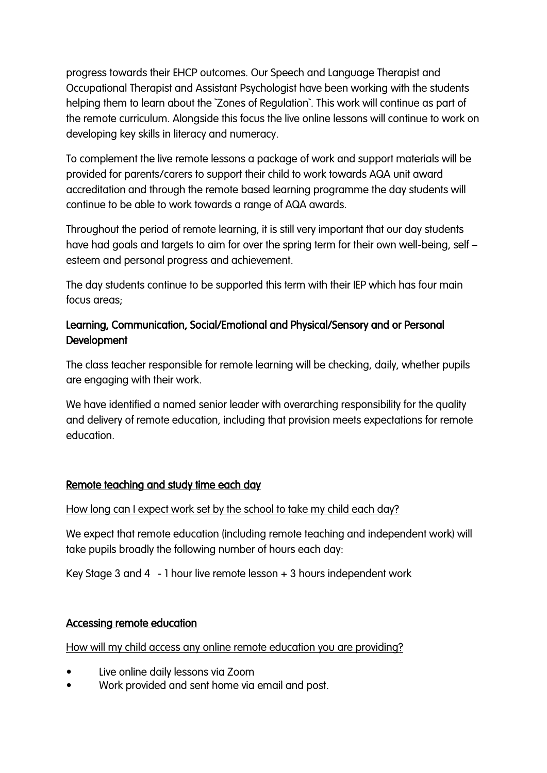progress towards their EHCP outcomes. Our Speech and Language Therapist and Occupational Therapist and Assistant Psychologist have been working with the students helping them to learn about the `Zones of Regulation`. This work will continue as part of the remote curriculum. Alongside this focus the live online lessons will continue to work on developing key skills in literacy and numeracy.

To complement the live remote lessons a package of work and support materials will be provided for parents/carers to support their child to work towards AQA unit award accreditation and through the remote based learning programme the day students will continue to be able to work towards a range of AQA awards.

Throughout the period of remote learning, it is still very important that our day students have had goals and targets to aim for over the spring term for their own well-being, self – esteem and personal progress and achievement.

The day students continue to be supported this term with their IEP which has four main focus areas;

# Learning, Communication, Social/Emotional and Physical/Sensory and or Personal Development

The class teacher responsible for remote learning will be checking, daily, whether pupils are engaging with their work.

We have identified a named senior leader with overarching responsibility for the quality and delivery of remote education, including that provision meets expectations for remote education.

# Remote teaching and study time each day

#### How long can I expect work set by the school to take my child each day?

We expect that remote education (including remote teaching and independent work) will take pupils broadly the following number of hours each day:

Key Stage 3 and 4 - 1 hour live remote lesson + 3 hours independent work

#### Accessing remote education

How will my child access any online remote education you are providing?

- Live online daily lessons via Zoom
- Work provided and sent home via email and post.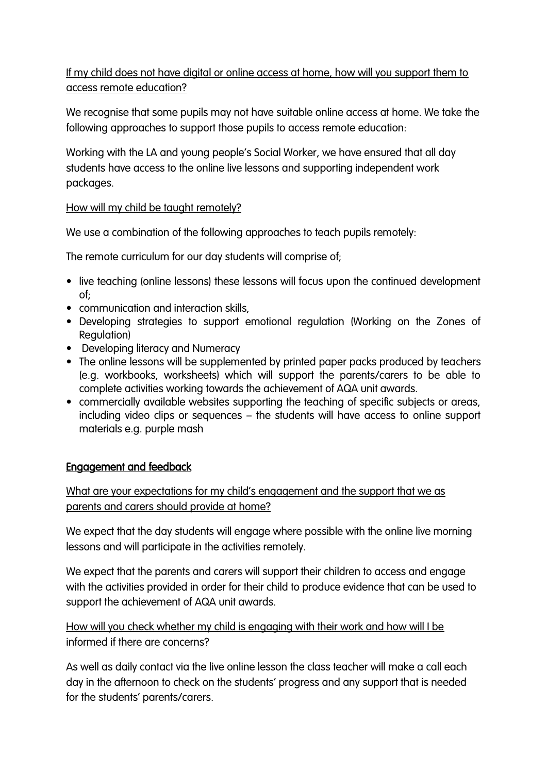If my child does not have digital or online access at home, how will you support them to access remote education?

We recognise that some pupils may not have suitable online access at home. We take the following approaches to support those pupils to access remote education:

Working with the LA and young people's Social Worker, we have ensured that all day students have access to the online live lessons and supporting independent work packages.

### How will my child be taught remotely?

We use a combination of the following approaches to teach pupils remotely:

The remote curriculum for our day students will comprise of;

- live teaching (online lessons) these lessons will focus upon the continued development of;
- communication and interaction skills,
- Developing strategies to support emotional regulation (Working on the Zones of Regulation)
- Developing literacy and Numeracy
- The online lessons will be supplemented by printed paper packs produced by teachers (e.g. workbooks, worksheets) which will support the parents/carers to be able to complete activities working towards the achievement of AQA unit awards.
- commercially available websites supporting the teaching of specific subjects or areas, including video clips or sequences – the students will have access to online support materials e.g. purple mash

# Engagement and feedback

What are your expectations for my child's engagement and the support that we as parents and carers should provide at home?

We expect that the day students will engage where possible with the online live morning lessons and will participate in the activities remotely.

We expect that the parents and carers will support their children to access and engage with the activities provided in order for their child to produce evidence that can be used to support the achievement of AQA unit awards.

How will you check whether my child is engaging with their work and how will I be informed if there are concerns?

As well as daily contact via the live online lesson the class teacher will make a call each day in the afternoon to check on the students' progress and any support that is needed for the students' parents/carers.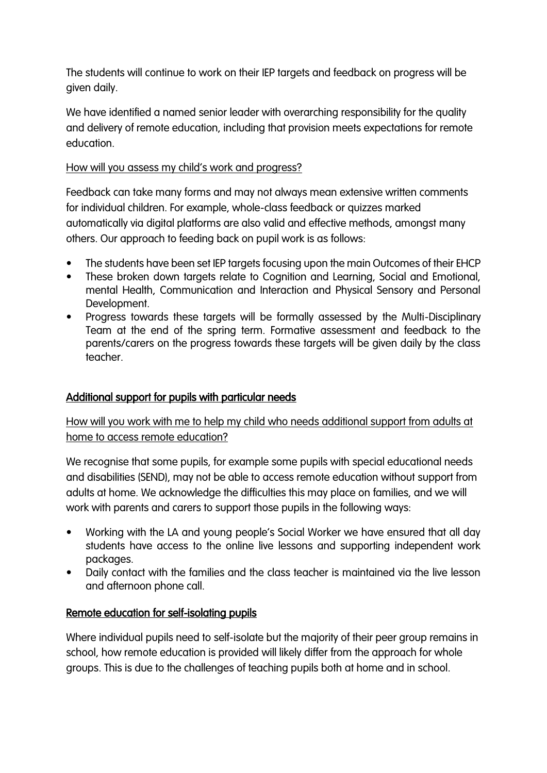The students will continue to work on their IEP targets and feedback on progress will be given daily.

We have identified a named senior leader with overarching responsibility for the quality and delivery of remote education, including that provision meets expectations for remote education.

#### How will you assess my child's work and progress?

Feedback can take many forms and may not always mean extensive written comments for individual children. For example, whole-class feedback or quizzes marked automatically via digital platforms are also valid and effective methods, amongst many others. Our approach to feeding back on pupil work is as follows:

- The students have been set IEP targets focusing upon the main Outcomes of their EHCP
- These broken down targets relate to Cognition and Learning, Social and Emotional, mental Health, Communication and Interaction and Physical Sensory and Personal Development.
- Progress towards these targets will be formally assessed by the Multi-Disciplinary Team at the end of the spring term. Formative assessment and feedback to the parents/carers on the progress towards these targets will be given daily by the class teacher.

# Additional support for pupils with particular needs

How will you work with me to help my child who needs additional support from adults at home to access remote education?

We recognise that some pupils, for example some pupils with special educational needs and disabilities (SEND), may not be able to access remote education without support from adults at home. We acknowledge the difficulties this may place on families, and we will work with parents and carers to support those pupils in the following ways:

- Working with the LA and young people's Social Worker we have ensured that all day students have access to the online live lessons and supporting independent work packages.
- Daily contact with the families and the class teacher is maintained via the live lesson and afternoon phone call.

#### Remote education for self-isolating pupils

Where individual pupils need to self-isolate but the majority of their peer group remains in school, how remote education is provided will likely differ from the approach for whole groups. This is due to the challenges of teaching pupils both at home and in school.